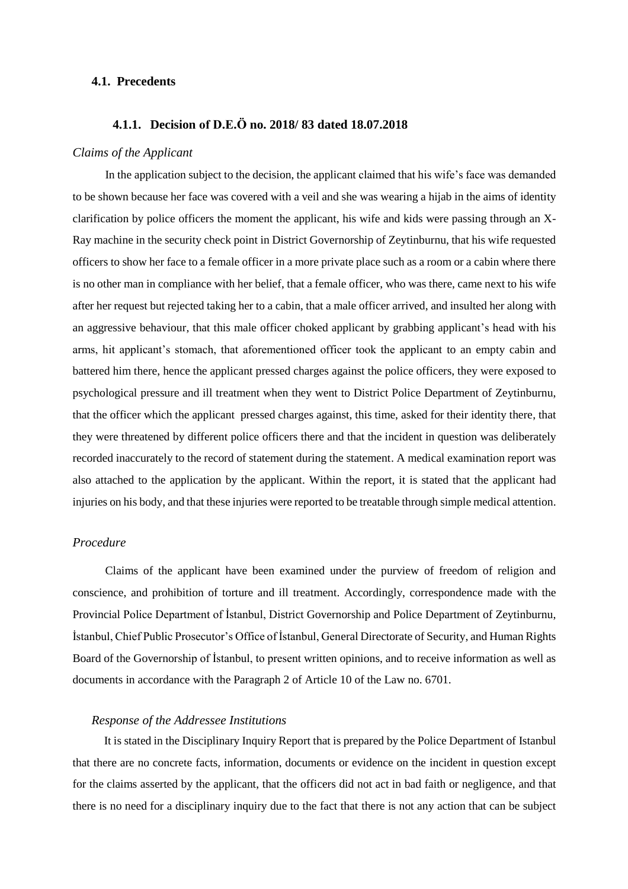## **4.1. Precedents**

# **4.1.1. Decision of D.E.Ö no. 2018/ 83 dated 18.07.2018**

#### *Claims of the Applicant*

In the application subject to the decision, the applicant claimed that his wife's face was demanded to be shown because her face was covered with a veil and she was wearing a hijab in the aims of identity clarification by police officers the moment the applicant, his wife and kids were passing through an X-Ray machine in the security check point in District Governorship of Zeytinburnu, that his wife requested officers to show her face to a female officer in a more private place such as a room or a cabin where there is no other man in compliance with her belief, that a female officer, who was there, came next to his wife after her request but rejected taking her to a cabin, that a male officer arrived, and insulted her along with an aggressive behaviour, that this male officer choked applicant by grabbing applicant's head with his arms, hit applicant's stomach, that aforementioned officer took the applicant to an empty cabin and battered him there, hence the applicant pressed charges against the police officers, they were exposed to psychological pressure and ill treatment when they went to District Police Department of Zeytinburnu, that the officer which the applicant pressed charges against, this time, asked for their identity there, that they were threatened by different police officers there and that the incident in question was deliberately recorded inaccurately to the record of statement during the statement. A medical examination report was also attached to the application by the applicant. Within the report, it is stated that the applicant had injuries on his body, and that these injuries were reported to be treatable through simple medical attention.

### *Procedure*

Claims of the applicant have been examined under the purview of freedom of religion and conscience, and prohibition of torture and ill treatment. Accordingly, correspondence made with the Provincial Police Department of İstanbul, District Governorship and Police Department of Zeytinburnu, İstanbul, Chief Public Prosecutor's Office of İstanbul, General Directorate of Security, and Human Rights Board of the Governorship of İstanbul, to present written opinions, and to receive information as well as documents in accordance with the Paragraph 2 of Article 10 of the Law no. 6701.

# *Response of the Addressee Institutions*

It is stated in the Disciplinary Inquiry Report that is prepared by the Police Department of Istanbul that there are no concrete facts, information, documents or evidence on the incident in question except for the claims asserted by the applicant, that the officers did not act in bad faith or negligence, and that there is no need for a disciplinary inquiry due to the fact that there is not any action that can be subject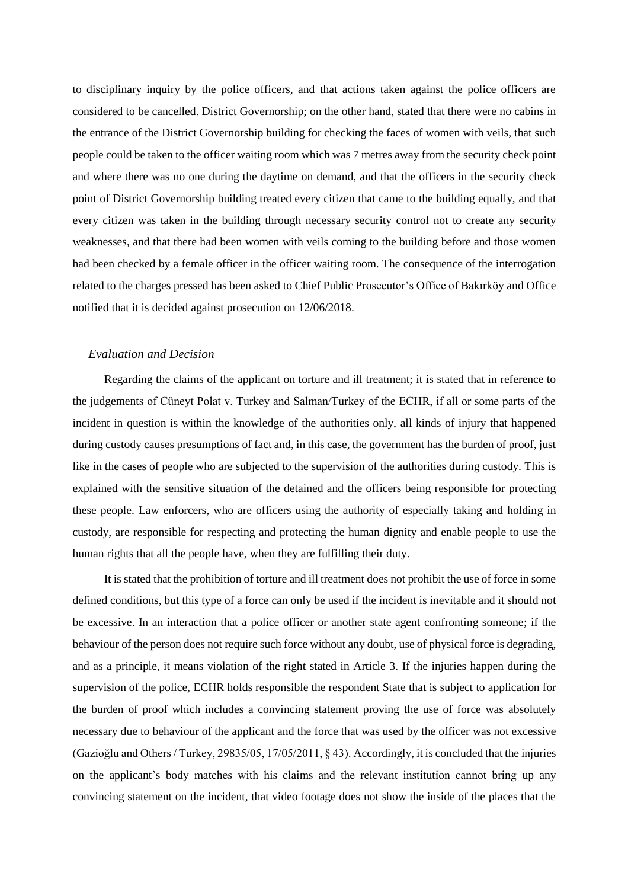to disciplinary inquiry by the police officers, and that actions taken against the police officers are considered to be cancelled. District Governorship; on the other hand, stated that there were no cabins in the entrance of the District Governorship building for checking the faces of women with veils, that such people could be taken to the officer waiting room which was 7 metres away from the security check point and where there was no one during the daytime on demand, and that the officers in the security check point of District Governorship building treated every citizen that came to the building equally, and that every citizen was taken in the building through necessary security control not to create any security weaknesses, and that there had been women with veils coming to the building before and those women had been checked by a female officer in the officer waiting room. The consequence of the interrogation related to the charges pressed has been asked to Chief Public Prosecutor's Office of Bakırköy and Office notified that it is decided against prosecution on 12/06/2018.

## *Evaluation and Decision*

Regarding the claims of the applicant on torture and ill treatment; it is stated that in reference to the judgements of Cüneyt Polat v. Turkey and Salman/Turkey of the ECHR, if all or some parts of the incident in question is within the knowledge of the authorities only, all kinds of injury that happened during custody causes presumptions of fact and, in this case, the government has the burden of proof, just like in the cases of people who are subjected to the supervision of the authorities during custody. This is explained with the sensitive situation of the detained and the officers being responsible for protecting these people. Law enforcers, who are officers using the authority of especially taking and holding in custody, are responsible for respecting and protecting the human dignity and enable people to use the human rights that all the people have, when they are fulfilling their duty.

It is stated that the prohibition of torture and ill treatment does not prohibit the use of force in some defined conditions, but this type of a force can only be used if the incident is inevitable and it should not be excessive. In an interaction that a police officer or another state agent confronting someone; if the behaviour of the person does not require such force without any doubt, use of physical force is degrading, and as a principle, it means violation of the right stated in Article 3. If the injuries happen during the supervision of the police, ECHR holds responsible the respondent State that is subject to application for the burden of proof which includes a convincing statement proving the use of force was absolutely necessary due to behaviour of the applicant and the force that was used by the officer was not excessive (Gazioğlu and Others / Turkey, 29835/05, 17/05/2011, § 43). Accordingly, it is concluded that the injuries on the applicant's body matches with his claims and the relevant institution cannot bring up any convincing statement on the incident, that video footage does not show the inside of the places that the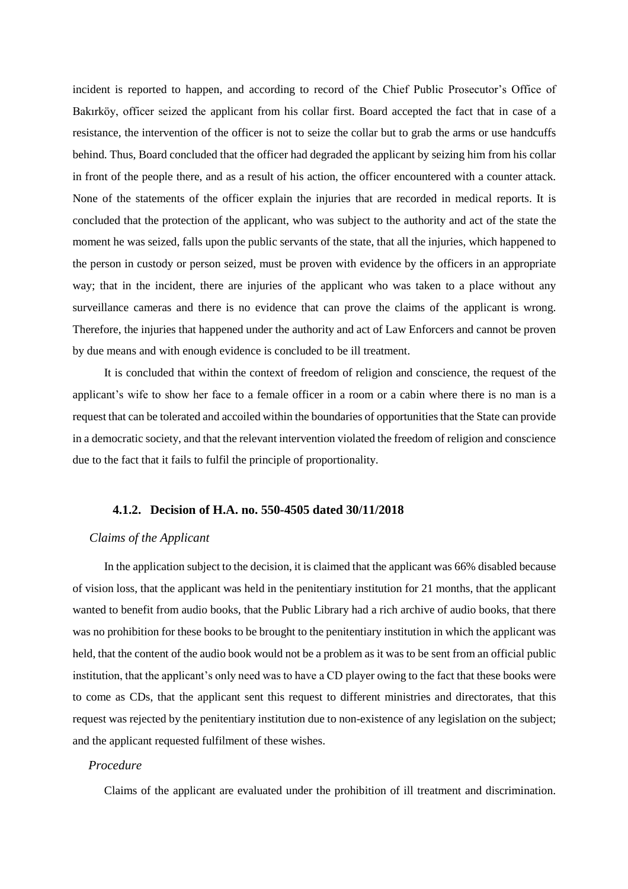incident is reported to happen, and according to record of the Chief Public Prosecutor's Office of Bakırköy, officer seized the applicant from his collar first. Board accepted the fact that in case of a resistance, the intervention of the officer is not to seize the collar but to grab the arms or use handcuffs behind. Thus, Board concluded that the officer had degraded the applicant by seizing him from his collar in front of the people there, and as a result of his action, the officer encountered with a counter attack. None of the statements of the officer explain the injuries that are recorded in medical reports. It is concluded that the protection of the applicant, who was subject to the authority and act of the state the moment he was seized, falls upon the public servants of the state, that all the injuries, which happened to the person in custody or person seized, must be proven with evidence by the officers in an appropriate way; that in the incident, there are injuries of the applicant who was taken to a place without any surveillance cameras and there is no evidence that can prove the claims of the applicant is wrong. Therefore, the injuries that happened under the authority and act of Law Enforcers and cannot be proven by due means and with enough evidence is concluded to be ill treatment.

It is concluded that within the context of freedom of religion and conscience, the request of the applicant's wife to show her face to a female officer in a room or a cabin where there is no man is a request that can be tolerated and accoiled within the boundaries of opportunities that the State can provide in a democratic society, and that the relevant intervention violated the freedom of religion and conscience due to the fact that it fails to fulfil the principle of proportionality.

#### **4.1.2. Decision of H.A. no. 550-4505 dated 30/11/2018**

## *Claims of the Applicant*

In the application subject to the decision, it is claimed that the applicant was 66% disabled because of vision loss, that the applicant was held in the penitentiary institution for 21 months, that the applicant wanted to benefit from audio books, that the Public Library had a rich archive of audio books, that there was no prohibition for these books to be brought to the penitentiary institution in which the applicant was held, that the content of the audio book would not be a problem as it was to be sent from an official public institution, that the applicant's only need was to have a CD player owing to the fact that these books were to come as CDs, that the applicant sent this request to different ministries and directorates, that this request was rejected by the penitentiary institution due to non-existence of any legislation on the subject; and the applicant requested fulfilment of these wishes.

# *Procedure*

Claims of the applicant are evaluated under the prohibition of ill treatment and discrimination.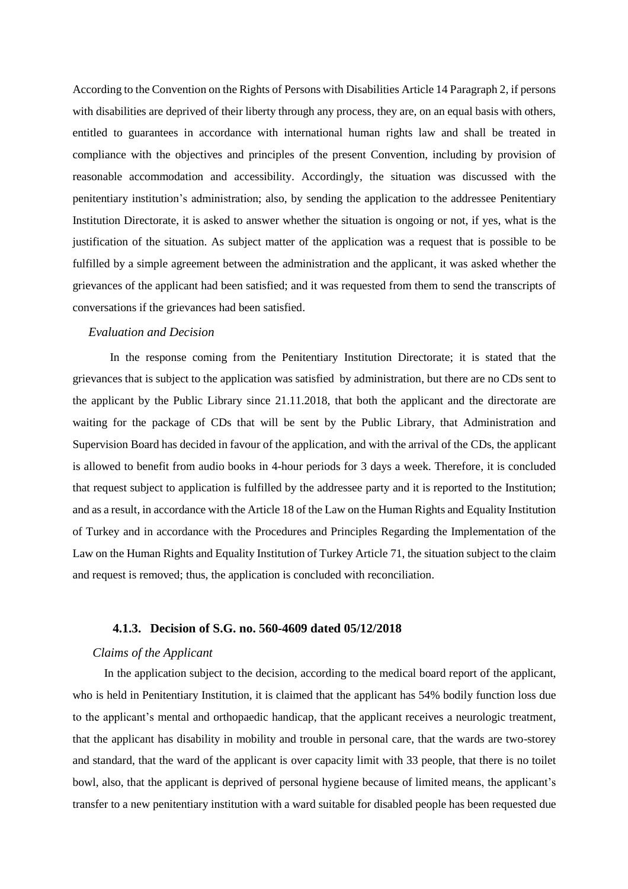According to the Convention on the Rights of Persons with Disabilities Article 14 Paragraph 2, if persons with disabilities are deprived of their liberty through any process, they are, on an equal basis with others, entitled to guarantees in accordance with international human rights law and shall be treated in compliance with the objectives and principles of the present Convention, including by provision of reasonable accommodation and accessibility. Accordingly, the situation was discussed with the penitentiary institution's administration; also, by sending the application to the addressee Penitentiary Institution Directorate, it is asked to answer whether the situation is ongoing or not, if yes, what is the justification of the situation. As subject matter of the application was a request that is possible to be fulfilled by a simple agreement between the administration and the applicant, it was asked whether the grievances of the applicant had been satisfied; and it was requested from them to send the transcripts of conversations if the grievances had been satisfied.

### *Evaluation and Decision*

In the response coming from the Penitentiary Institution Directorate; it is stated that the grievances that is subject to the application was satisfied by administration, but there are no CDs sent to the applicant by the Public Library since 21.11.2018, that both the applicant and the directorate are waiting for the package of CDs that will be sent by the Public Library, that Administration and Supervision Board has decided in favour of the application, and with the arrival of the CDs, the applicant is allowed to benefit from audio books in 4-hour periods for 3 days a week. Therefore, it is concluded that request subject to application is fulfilled by the addressee party and it is reported to the Institution; and as a result, in accordance with the Article 18 of the Law on the Human Rights and Equality Institution of Turkey and in accordance with the Procedures and Principles Regarding the Implementation of the Law on the Human Rights and Equality Institution of Turkey Article 71, the situation subject to the claim and request is removed; thus, the application is concluded with reconciliation.

#### **4.1.3. Decision of S.G. no. 560-4609 dated 05/12/2018**

## *Claims of the Applicant*

In the application subject to the decision, according to the medical board report of the applicant, who is held in Penitentiary Institution, it is claimed that the applicant has 54% bodily function loss due to the applicant's mental and orthopaedic handicap, that the applicant receives a neurologic treatment, that the applicant has disability in mobility and trouble in personal care, that the wards are two-storey and standard, that the ward of the applicant is over capacity limit with 33 people, that there is no toilet bowl, also, that the applicant is deprived of personal hygiene because of limited means, the applicant's transfer to a new penitentiary institution with a ward suitable for disabled people has been requested due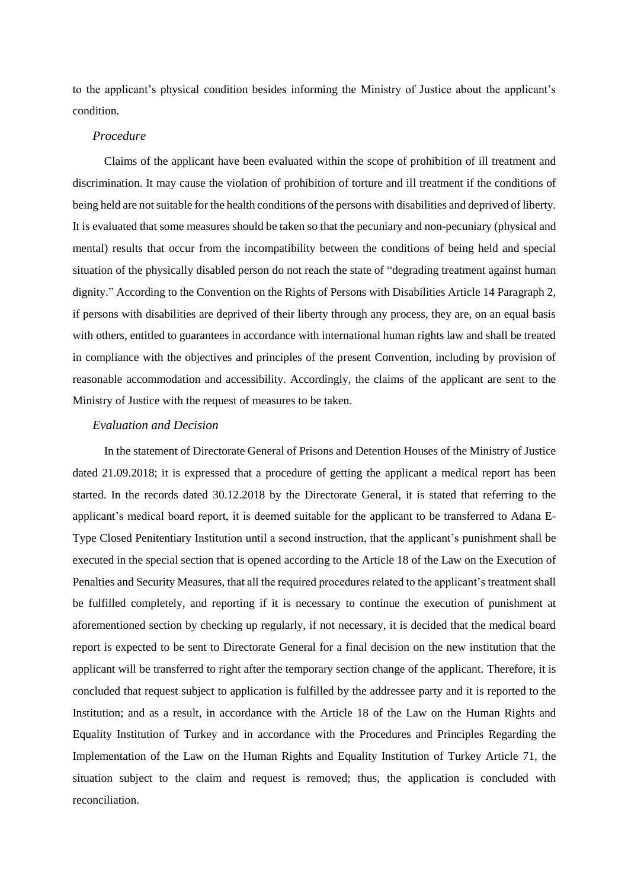to the applicant's physical condition besides informing the Ministry of Justice about the applicant's condition.

## *Procedure*

Claims of the applicant have been evaluated within the scope of prohibition of ill treatment and discrimination. It may cause the violation of prohibition of torture and ill treatment if the conditions of being held are not suitable for the health conditions of the persons with disabilities and deprived of liberty. It is evaluated that some measures should be taken so that the pecuniary and non-pecuniary (physical and mental) results that occur from the incompatibility between the conditions of being held and special situation of the physically disabled person do not reach the state of "degrading treatment against human dignity." According to the Convention on the Rights of Persons with Disabilities Article 14 Paragraph 2, if persons with disabilities are deprived of their liberty through any process, they are, on an equal basis with others, entitled to guarantees in accordance with international human rights law and shall be treated in compliance with the objectives and principles of the present Convention, including by provision of reasonable accommodation and accessibility. Accordingly, the claims of the applicant are sent to the Ministry of Justice with the request of measures to be taken.

#### *Evaluation and Decision*

In the statement of Directorate General of Prisons and Detention Houses of the Ministry of Justice dated 21.09.2018; it is expressed that a procedure of getting the applicant a medical report has been started. In the records dated 30.12.2018 by the Directorate General, it is stated that referring to the applicant's medical board report, it is deemed suitable for the applicant to be transferred to Adana E-Type Closed Penitentiary Institution until a second instruction, that the applicant's punishment shall be executed in the special section that is opened according to the Article 18 of the Law on the Execution of Penalties and Security Measures, that all the required procedures related to the applicant's treatment shall be fulfilled completely, and reporting if it is necessary to continue the execution of punishment at aforementioned section by checking up regularly, if not necessary, it is decided that the medical board report is expected to be sent to Directorate General for a final decision on the new institution that the applicant will be transferred to right after the temporary section change of the applicant. Therefore, it is concluded that request subject to application is fulfilled by the addressee party and it is reported to the Institution; and as a result, in accordance with the Article 18 of the Law on the Human Rights and Equality Institution of Turkey and in accordance with the Procedures and Principles Regarding the Implementation of the Law on the Human Rights and Equality Institution of Turkey Article 71, the situation subject to the claim and request is removed; thus, the application is concluded with reconciliation.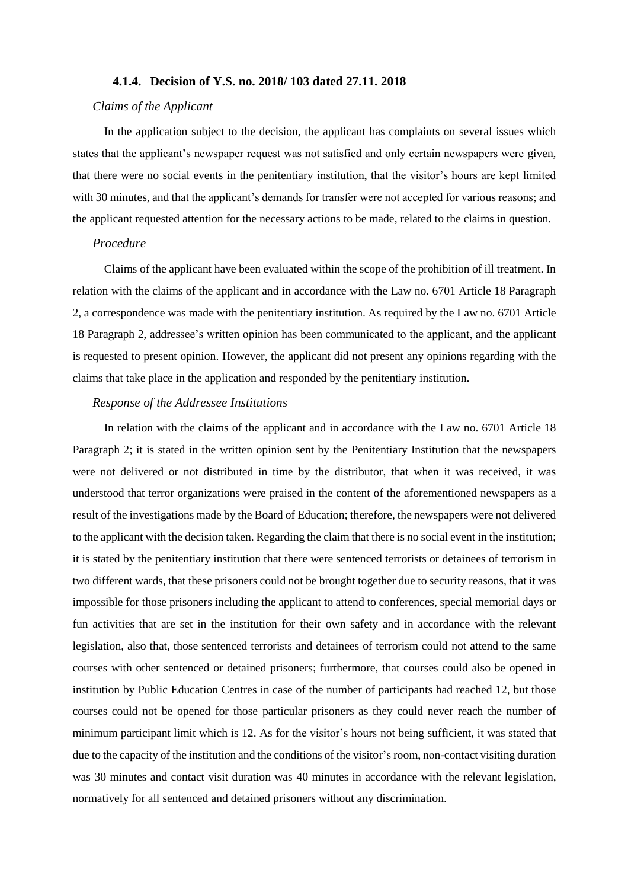#### **4.1.4. Decision of Y.S. no. 2018/ 103 dated 27.11. 2018**

### *Claims of the Applicant*

In the application subject to the decision, the applicant has complaints on several issues which states that the applicant's newspaper request was not satisfied and only certain newspapers were given, that there were no social events in the penitentiary institution, that the visitor's hours are kept limited with 30 minutes, and that the applicant's demands for transfer were not accepted for various reasons; and the applicant requested attention for the necessary actions to be made, related to the claims in question.

## *Procedure*

Claims of the applicant have been evaluated within the scope of the prohibition of ill treatment. In relation with the claims of the applicant and in accordance with the Law no. 6701 Article 18 Paragraph 2, a correspondence was made with the penitentiary institution. As required by the Law no. 6701 Article 18 Paragraph 2, addressee's written opinion has been communicated to the applicant, and the applicant is requested to present opinion. However, the applicant did not present any opinions regarding with the claims that take place in the application and responded by the penitentiary institution.

#### *Response of the Addressee Institutions*

In relation with the claims of the applicant and in accordance with the Law no. 6701 Article 18 Paragraph 2; it is stated in the written opinion sent by the Penitentiary Institution that the newspapers were not delivered or not distributed in time by the distributor, that when it was received, it was understood that terror organizations were praised in the content of the aforementioned newspapers as a result of the investigations made by the Board of Education; therefore, the newspapers were not delivered to the applicant with the decision taken. Regarding the claim that there is no social event in the institution; it is stated by the penitentiary institution that there were sentenced terrorists or detainees of terrorism in two different wards, that these prisoners could not be brought together due to security reasons, that it was impossible for those prisoners including the applicant to attend to conferences, special memorial days or fun activities that are set in the institution for their own safety and in accordance with the relevant legislation, also that, those sentenced terrorists and detainees of terrorism could not attend to the same courses with other sentenced or detained prisoners; furthermore, that courses could also be opened in institution by Public Education Centres in case of the number of participants had reached 12, but those courses could not be opened for those particular prisoners as they could never reach the number of minimum participant limit which is 12. As for the visitor's hours not being sufficient, it was stated that due to the capacity of the institution and the conditions of the visitor's room, non-contact visiting duration was 30 minutes and contact visit duration was 40 minutes in accordance with the relevant legislation, normatively for all sentenced and detained prisoners without any discrimination.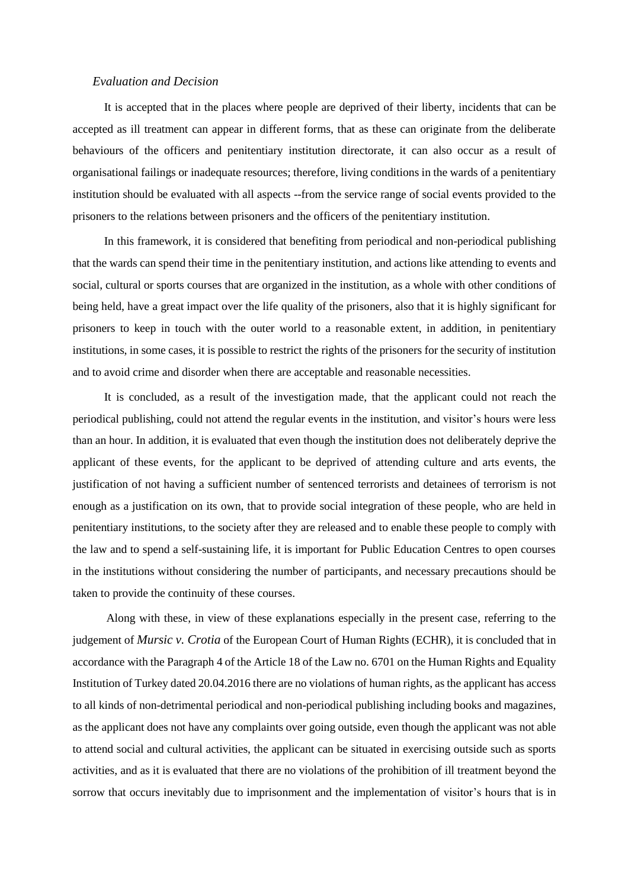### *Evaluation and Decision*

It is accepted that in the places where people are deprived of their liberty, incidents that can be accepted as ill treatment can appear in different forms, that as these can originate from the deliberate behaviours of the officers and penitentiary institution directorate, it can also occur as a result of organisational failings or inadequate resources; therefore, living conditions in the wards of a penitentiary institution should be evaluated with all aspects --from the service range of social events provided to the prisoners to the relations between prisoners and the officers of the penitentiary institution.

In this framework, it is considered that benefiting from periodical and non-periodical publishing that the wards can spend their time in the penitentiary institution, and actions like attending to events and social, cultural or sports courses that are organized in the institution, as a whole with other conditions of being held, have a great impact over the life quality of the prisoners, also that it is highly significant for prisoners to keep in touch with the outer world to a reasonable extent, in addition, in penitentiary institutions, in some cases, it is possible to restrict the rights of the prisoners for the security of institution and to avoid crime and disorder when there are acceptable and reasonable necessities.

It is concluded, as a result of the investigation made, that the applicant could not reach the periodical publishing, could not attend the regular events in the institution, and visitor's hours were less than an hour. In addition, it is evaluated that even though the institution does not deliberately deprive the applicant of these events, for the applicant to be deprived of attending culture and arts events, the justification of not having a sufficient number of sentenced terrorists and detainees of terrorism is not enough as a justification on its own, that to provide social integration of these people, who are held in penitentiary institutions, to the society after they are released and to enable these people to comply with the law and to spend a self-sustaining life, it is important for Public Education Centres to open courses in the institutions without considering the number of participants, and necessary precautions should be taken to provide the continuity of these courses.

Along with these, in view of these explanations especially in the present case, referring to the judgement of *Mursic v. Crotia* of the European Court of Human Rights (ECHR), it is concluded that in accordance with the Paragraph 4 of the Article 18 of the Law no. 6701 on the Human Rights and Equality Institution of Turkey dated 20.04.2016 there are no violations of human rights, as the applicant has access to all kinds of non-detrimental periodical and non-periodical publishing including books and magazines, as the applicant does not have any complaints over going outside, even though the applicant was not able to attend social and cultural activities, the applicant can be situated in exercising outside such as sports activities, and as it is evaluated that there are no violations of the prohibition of ill treatment beyond the sorrow that occurs inevitably due to imprisonment and the implementation of visitor's hours that is in